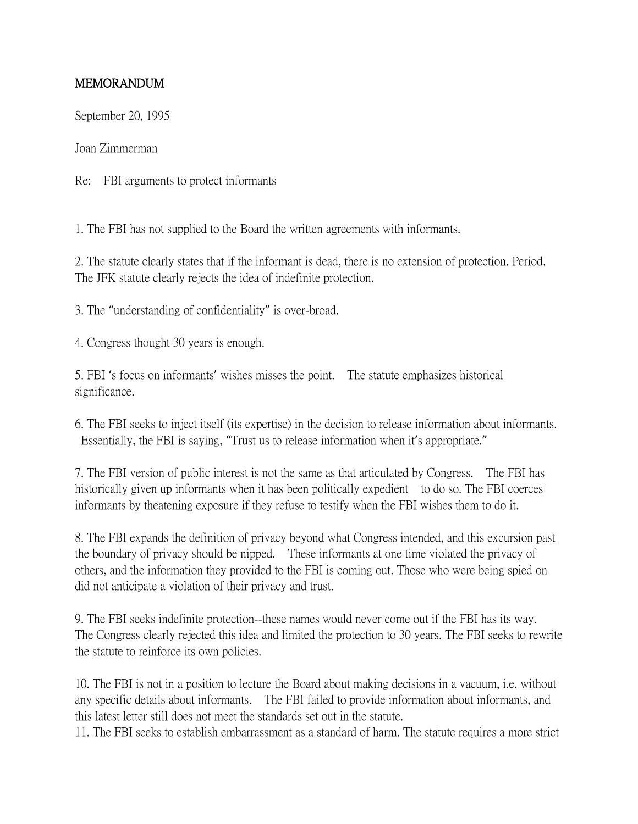## MEMORANDUM

September 20, 1995

Joan Zimmerman

Re: FBI arguments to protect informants

1. The FBI has not supplied to the Board the written agreements with informants.

2. The statute clearly states that if the informant is dead, there is no extension of protection. Period. The JFK statute clearly rejects the idea of indefinite protection.

3. The "understanding of confidentiality" is over-broad.

4. Congress thought 30 years is enough.

5. FBI 's focus on informants' wishes misses the point. The statute emphasizes historical significance.

6. The FBI seeks to inject itself (its expertise) in the decision to release information about informants. Essentially, the FBI is saying, "Trust us to release information when it's appropriate."

7. The FBI version of public interest is not the same as that articulated by Congress. The FBI has historically given up informants when it has been politically expedient to do so. The FBI coerces informants by theatening exposure if they refuse to testify when the FBI wishes them to do it.

8. The FBI expands the definition of privacy beyond what Congress intended, and this excursion past the boundary of privacy should be nipped. These informants at one time violated the privacy of others, and the information they provided to the FBI is coming out. Those who were being spied on did not anticipate a violation of their privacy and trust.

9. The FBI seeks indefinite protection--these names would never come out if the FBI has its way. The Congress clearly rejected this idea and limited the protection to 30 years. The FBI seeks to rewrite the statute to reinforce its own policies.

10. The FBI is not in a position to lecture the Board about making decisions in a vacuum, i.e. without any specific details about informants. The FBI failed to provide information about informants, and this latest letter still does not meet the standards set out in the statute.

11. The FBI seeks to establish embarrassment as a standard of harm. The statute requires a more strict